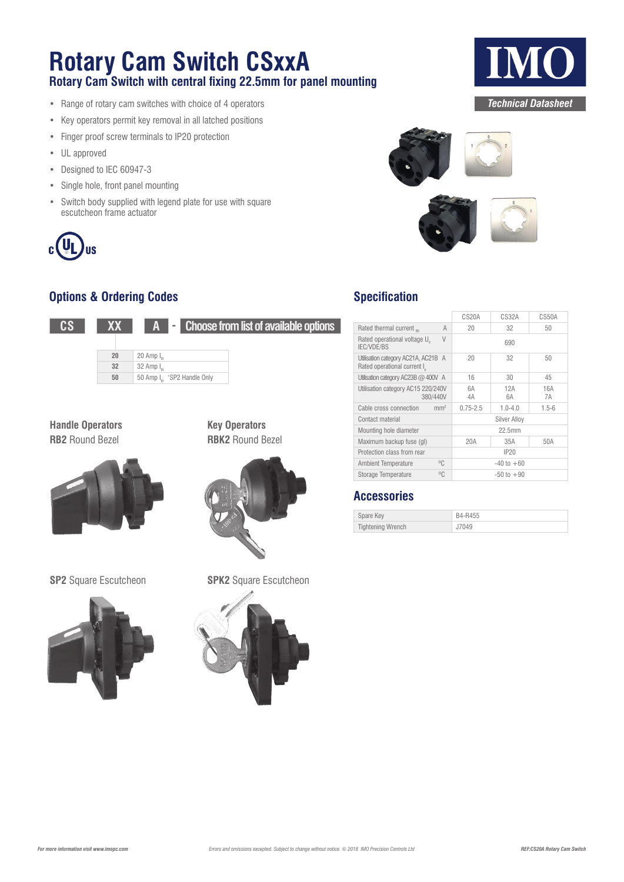## **Rotary Cam Switch CSxxA**

**Rotary Cam Switch with central fixing 22.5mm for panel mounting**

- Range of rotary cam switches with choice of 4 operators
- Key operators permit key removal in all latched positions
- Finger proof screw terminals to IP20 protection
- UL approved
- Designed to IEC 60947-3
- Single hole, front panel mounting
- Switch body supplied with legend plate for use with square escutcheon frame actuator



### **Options & Ordering Codes**



**Handle Operators RB2** Round Bezel



**SP2** Square Escutcheon **SPK2** Square Escutcheon



**Key Operators RBK2** Round Bezel



### **Specification**

|                                                                    |                 | CS20A        | <b>CS32A</b>       | CS50A     |
|--------------------------------------------------------------------|-----------------|--------------|--------------------|-----------|
| Rated thermal current m                                            | A               | 20           | 32                 | 50        |
| Rated operational voltage U<br><b>IEC/VDE/BS</b>                   | $\vee$          |              | 690                |           |
| Utilisation category AC21A, AC21B A<br>Rated operational current I |                 | 20           | 32                 | 50        |
| Utilisation category AC23B $@$ 400V A                              |                 | 16           | 30                 | 45        |
| Utilisation category AC15 220/240V<br>380/440V                     |                 | 6A<br>4A     | 12A<br>6A          | 16A<br>7A |
| Cable cross connection                                             | mm <sup>2</sup> | $0.75 - 2.5$ | $1.0 - 4.0$        | $1.5 - 6$ |
| Contact material                                                   |                 |              | Silver Allov       |           |
| Mounting hole diameter                                             |                 |              | 22.5 <sub>mm</sub> |           |
| Maximum backup fuse (gl)                                           |                 | 20A          | 35A                | 50A       |
| Protection class from rear                                         |                 |              | IP20               |           |
| <b>Ambient Temperature</b>                                         | $^{\circ}$ C    |              | $-40$ to $+60$     |           |
| Storage Temperature                                                | $^{\circ}C$     |              | $-50$ to $+90$     |           |

### **Accessories**

| Spare Key                | B4-R455 |
|--------------------------|---------|
| <b>Tightening Wrench</b> | J7049   |

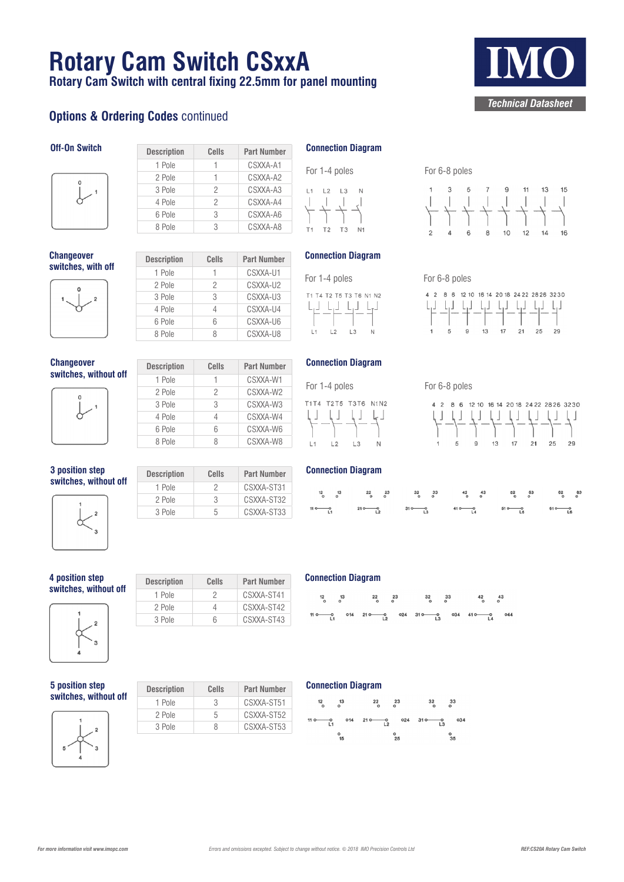## **Rotary Cam Switch CSxxA**

**Rotary Cam Switch with central fixing 22.5mm for panel mounting**

1 Pole 1 CSXXA-A1 2 Pole 1 CSXXA-A2 3 Pole 2 CSXXA-A3 4 Pole 2 CSXXA-A4 6 Pole 3 CSXXA-A6 8 Pole 3 CSXXA-A8

2 Pole 2 CSXXA-U2 3 Pole 3 CSXXA-U3 4 Pole 4 CSXXA-U4 6 Pole 6 CSXXA-U6 8 Pole 8 CSXXA-U8

2 Pole 2 CSXXA-W2 3 Pole 3 CSXXA-W3 4 Pole 4 CSXXA-W4 6 Pole 6 CSXXA-W6 8 Pole 8 CSXXA-W8

CSXXA-U1

CSXXA-W1

### **Options & Ordering Codes continued**

### **Off-On Switch Description Cells Part Number**



**Changeover Summer Switches, with off Description Cells Part Number**<br>**1** Pole **1 CSXXA-U1** 



**Changeover switches, without off Description Cells Part Number**<br>**1** Pole **1 CSXXA-W1** 



**3 position step s s** position step<br> **switches, without off Description Cells Part Number**<br> **Pole 2 CSXXA-ST31** 



| 1 Pole | 2 | CSXXA-ST31 |
|--------|---|------------|
| 2 Pole | 3 | CSXXA-ST32 |
| 3 Pole | 5 | CSXXA-ST33 |
|        |   |            |
|        |   |            |
|        |   |            |

**4 position step** 



| 4 position step       | <b>Description</b> | Cells | <b>Part Number</b> |
|-----------------------|--------------------|-------|--------------------|
| switches, without off | 1 Pole             |       | CSXXA-ST41         |
|                       | 2 Pole             |       | CSXXA-ST42         |
|                       | 3 Pole             |       | CSXXA-ST43         |
|                       |                    |       |                    |

**5 position step**   $\overline{\textbf{w}}$  **switches, without off** 



| <b>Description</b> | Cells | <b>Part Number</b> |
|--------------------|-------|--------------------|
| 1 Pole             | 3     | CSXXA-ST51         |
| 2 Pole             | 5     | CSXXA-ST52         |
| 3 Pole             | я     | CSXXA-ST53         |



### **Connection Diagram**

For 1-4 poles For 6-8 poles



### **Connection Diagram**

For 1-4 poles For 6-8 poles T1T4 T2T5 T3T6 N1N2  $\Box$ لہا لیا لیا  $L1$  $L2$ L3  $N$ 

**Connection Diagram**

4 2 8 6 12 10 16 14 20 18 24 22 28 26 32 30 ┞┚┸┥┙┞┙┶┙┶┙┶┙┷┙  $13$  $17$   $21$   $25$ 29

 $17$   $21$   $25$ 

 $29$ 

|  | $110$ 0 $210$ 0 $310$ 0 $410$ 0 $510$ 0 $610$ 0 |  |
|--|-------------------------------------------------|--|

### **Connection Diagram**

|  | $\begin{array}{cccccccccccccccccc} 12 & & 13 & & & 22 & & 23 & & & 32 & & 33 & & & 42 & & 43 \\ \bullet & \circ & & \circ & & \circ & & \circ & & \circ & & \circ & & \circ & & \circ & & \circ \end{array}$ |  |  |  |
|--|--------------------------------------------------------------------------------------------------------------------------------------------------------------------------------------------------------------|--|--|--|
|  | $110 - 0$ 014 210 0 024 310 0 034 410 0 044                                                                                                                                                                  |  |  |  |

### **Connection Diagram**





### $\overline{5}$  $\overline{7}$  $\mathsf{g}$  $11$  $13$ 15

4 2 8 6 12 10 16 14 20 18 24 22 28 26 32 30 

 $13<sup>1</sup>$ 

 $\alpha$ 

 $10$  $12$  $14$ 



# *Technical Datasheet*